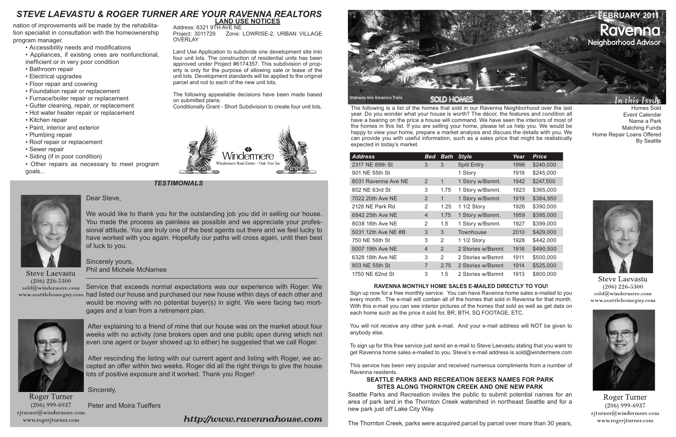

The following is a list of the homes that sold in our Ravenna Neighborhood over the last year. Do you wonder what your house is worth? The décor, the features and condition all have a bearing on the price a house will command. We have seen the interiors of most of the homes in this list. If you are selling your home, please let us help you. We would be happy to view your home, prepare a market analysis and discuss the details with you. We can provide you with useful information, such as a sales price that might be realistically expected in today's market.

## **RAVENNA MONTHLY HOME SALES E-MAILED DIRECTLY TO YOU!**

Sign up now for a free monthly service. You can have Ravenna home sales e-mailed to you every month. The e-mail will contain all of the homes that sold in Ravenna for that month. With this e-mail you can see interior pictures of the homes that sold as well as get data on each home such as the price it sold for, BR, BTH, SQ FOOTAGE, ETC.

You will not receive any other junk e-mail. And your e-mail address will NOT be given to anybody else.

To sign up for this free service just send an e-mail to Steve Laevastu stating that you want to get Ravenna home sales e-mailed to you. Steve's e-mail address is sold@windermere.com

This service has been very popular and received numerous compliments from a number of Ravenna residents.

*TESTIMONIALS*



Homes Sold Event Calendar Name a Park Matching Funds

Home Repair Loans Offered

By Seattle

**Steve Laevastu**  $(206)$  226-5300 sold@windermere.com www.seattlehomeguy.com



Roger Turner  $(206)$  999-6937 rjturner@windermere.com www.rogerjturner.com

| <b>Address</b>      | Bed            | <b>Bath</b> | <b>Style</b>       | Year | Price     |
|---------------------|----------------|-------------|--------------------|------|-----------|
| 2317 NE 89th St     | 3              | 3           | <b>Split Entry</b> | 1996 | \$240,000 |
| 901 NE 55th St      |                |             | 1 Story            | 1919 | \$245,000 |
| 8031 Ravenna Ave NE | 2              | 1           | 1 Story w/Bsmnt.   | 1942 | \$247,500 |
| 802 NE 63rd St      | 3              | 1.75        | 1 Story w/Bsmnt.   | 1923 | \$365,000 |
| 7022 20th Ave NE    | 2              | $\mathbf 1$ | 1 Story w/Bsmnt.   | 1919 | \$384,950 |
| 2128 NE Park Rd     | 2              | 1.25        | 1 1/2 Story        | 1926 | \$390,000 |
| 6842 25th Ave NE    | $\overline{4}$ | 1.75        | 1 Story w/Bsmnt.   | 1959 | \$395,000 |
| 8038 18th Ave NE    | 2              | 1.5         | 1 Story w/Bsmnt.   | 1927 | \$399,000 |
| 5031 12th Ave NE #B | 3              | 3           | Townhouse          | 2010 | \$429,000 |
| 750 NE 56th St      | 3              | 2           | 1 1/2 Story        | 1928 | \$442,000 |
| 5007 19th Ave NE    | $\overline{4}$ | 2           | 2 Stories w/Bsmnt  | 1916 | \$490,500 |
| 6328 18th Ave NE    | 3              | 2           | 2 Stories w/Bsmnt  | 1911 | \$500,000 |
| 803 NE 55th St      | $\overline{7}$ | 2.75        | 2 Stories w/Bsmnt  | 1914 | \$525,000 |
| 1750 NE 62nd St     | 3              | 1.5         | 2 Stories w/Bsmnt  | 1913 | \$800,000 |

# **LAND USE NOTICES**

**OVERLAY** 

Address: 6321 9TH AVE NE

Land Use Application to subdivide one development site into four unit lots. The construction of residential units has been approved under Project #6174357. This subdivision of property is only for the purpose of allowing sale or lease of the unit lots. Development standards will be applied to the original

parcel and not to each of the new unit lots.

The following appealable decisions have been made based

Zone: LOWRISE-2, URBAN VILLAGE

on submitted plans:



## **SEATTLE PARKS AND RECREATION SEEKS NAMES FOR PARK SITES ALONG THORNTON CREEK AND ONE NEW PARK**

Seattle Parks and Recreation invites the public to submit potential names for an area of park land in the Thornton Creek watershed in northeast Seattle and for a new park just off Lake City Way.

The Thornton Creek, parks were acquired parcel by parcel over more than 30 years,



nation of improvements will be made by the rehabilitation specialist in consultation with the homeownership program manager.

- Accessibility needs and modifications
- Appliances, if existing ones are nonfunctional,
- inefficient or in very poor condition
- Bathroom repair • Electrical upgrades
- Floor repair and covering
- Foundation repair or replacement
- Furnace/boiler repair or replacement
- Gutter cleaning, repair, or replacement
- Hot water heater repair or replacement
- Kitchen repair
- Paint, interior and exterior
- Plumbing repair
- Roof repair or replacement
- Sewer repair
- Siding (if in poor condition)
- Other repairs as necessary to meet program goals...

## Dear Steve,

We would like to thank you for the outstanding job you did in selling our house. You made the process as painless as possible and we appreciate your professional attitude. You are truly one of the best agents out there and we feel lucky to have worked with you again. Hopefully our paths will cross again, until then best of luck to you.

Sincerely yours, Phil and Michele McNamee

**Steve Laevastu**  $(206)$  226-5300  $\mathrm{cold}@$ windermere.com

Service that exceeds normal expectations was our experience with Roger. We www.seattlehomeguy.com had listed our house and purchased our new house within days of each other and would be moving with no potential buyer(s) in sight. We were facing two mortgages and a loan from a retirement plan.



 After explaining to a friend of mine that our house was on the market about four weeks with no activity (one brokers open and one public open during which not even one agent or buyer showed up to either) he suggested that we call Roger.

 After rescinding the listing with our current agent and listing with Roger, we accepted an offer within two weeks. Roger did all the right things to give the house lots of positive exposure and it worked. Thank you Roger!

Sincerely,

**Roger Turner**  $(206)$  999-6937 rjturner@windermere.com www.rogerjturner.com

Peter and Moira Tueffers

http://www.ravennahouse.com